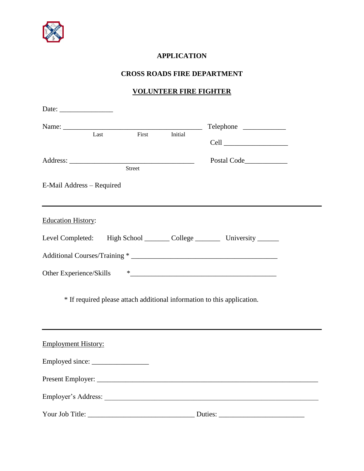

## **APPLICATION**

## **CROSS ROADS FIRE DEPARTMENT**

## **VOLUNTEER FIRE FIGHTER**

| Date: $\frac{1}{\sqrt{1-\frac{1}{2}}\sqrt{1-\frac{1}{2}}\sqrt{1-\frac{1}{2}}\sqrt{1-\frac{1}{2}}\sqrt{1-\frac{1}{2}}\sqrt{1-\frac{1}{2}}\sqrt{1-\frac{1}{2}}\sqrt{1-\frac{1}{2}}\sqrt{1-\frac{1}{2}}\sqrt{1-\frac{1}{2}}\sqrt{1-\frac{1}{2}}\sqrt{1-\frac{1}{2}}\sqrt{1-\frac{1}{2}}\sqrt{1-\frac{1}{2}}\sqrt{1-\frac{1}{2}}\sqrt{1-\frac{1}{2}}\sqrt{1-\frac{1}{2}}\sqrt{1-\frac{1}{2}}\sqrt{1-\frac{1}{2}}$ |                           |        |         |                                                                              |  |
|---------------------------------------------------------------------------------------------------------------------------------------------------------------------------------------------------------------------------------------------------------------------------------------------------------------------------------------------------------------------------------------------------------------|---------------------------|--------|---------|------------------------------------------------------------------------------|--|
|                                                                                                                                                                                                                                                                                                                                                                                                               |                           |        |         | Telephone                                                                    |  |
|                                                                                                                                                                                                                                                                                                                                                                                                               | Last                      | First  | Initial |                                                                              |  |
|                                                                                                                                                                                                                                                                                                                                                                                                               |                           | Street |         |                                                                              |  |
|                                                                                                                                                                                                                                                                                                                                                                                                               | E-Mail Address - Required |        |         |                                                                              |  |
| <b>Education History:</b>                                                                                                                                                                                                                                                                                                                                                                                     |                           |        |         |                                                                              |  |
|                                                                                                                                                                                                                                                                                                                                                                                                               |                           |        |         | Level Completed: High School _________ College __________ University _______ |  |
|                                                                                                                                                                                                                                                                                                                                                                                                               |                           |        |         |                                                                              |  |
|                                                                                                                                                                                                                                                                                                                                                                                                               |                           |        |         |                                                                              |  |
|                                                                                                                                                                                                                                                                                                                                                                                                               |                           |        |         | * If required please attach additional information to this application.      |  |
| <b>Employment History:</b>                                                                                                                                                                                                                                                                                                                                                                                    |                           |        |         |                                                                              |  |
|                                                                                                                                                                                                                                                                                                                                                                                                               |                           |        |         |                                                                              |  |
|                                                                                                                                                                                                                                                                                                                                                                                                               |                           |        |         |                                                                              |  |
|                                                                                                                                                                                                                                                                                                                                                                                                               |                           |        |         |                                                                              |  |
|                                                                                                                                                                                                                                                                                                                                                                                                               |                           |        |         | Duties:                                                                      |  |